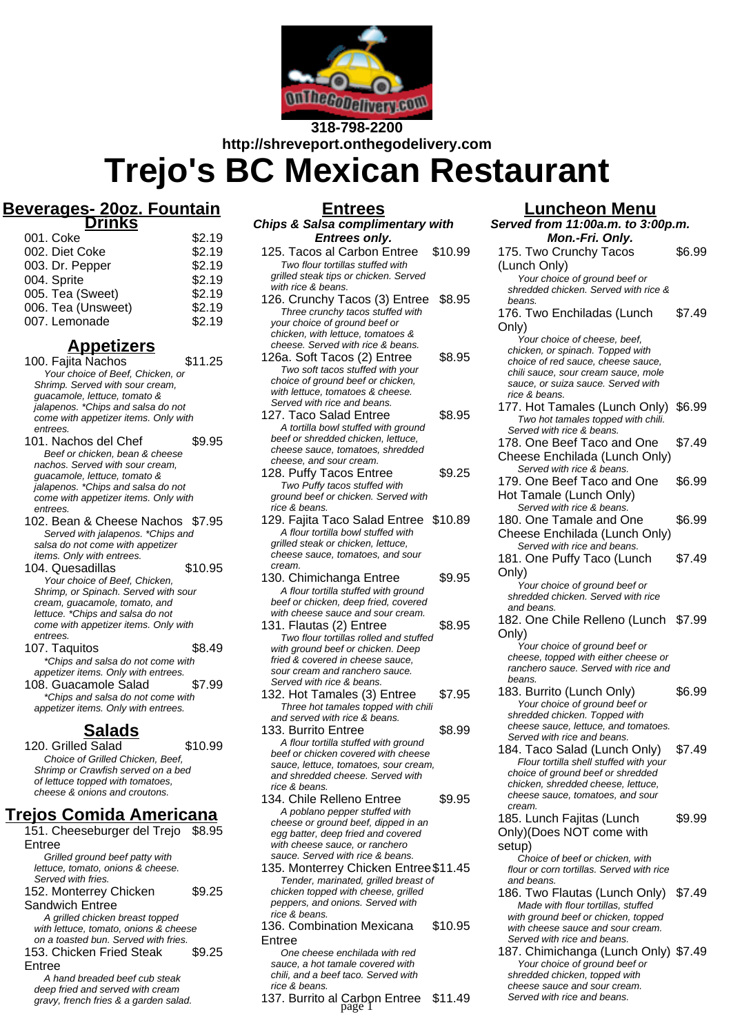

**318-798-2200 http://shreveport.onthegodelivery.com Trejo's BC Mexican Restaurant**

#### **Beverages- 20oz. Fountain Drinks**

| 001. Coke          | \$2.19 |
|--------------------|--------|
| 002. Diet Coke     | \$2.19 |
| 003. Dr. Pepper    | \$2.19 |
| 004. Sprite        | \$2.19 |
| 005. Tea (Sweet)   | \$2.19 |
| 006. Tea (Unsweet) | \$2.19 |
| 007. Lemonade      | \$2.19 |

### **Appetizers**

100. Fajita Nachos \$11.25 Your choice of Beef, Chicken, or Shrimp. Served with sour cream, guacamole, lettuce, tomato & jalapenos. \*Chips and salsa do not come with appetizer items. Only with entrees.

101. Nachos del Chef \$9.95 Beef or chicken, bean & cheese nachos. Served with sour cream, guacamole, lettuce, tomato & jalapenos. \*Chips and salsa do not come with appetizer items. Only with entrees.

- 102. Bean & Cheese Nachos \$7.95 Served with jalapenos. \*Chips and salsa do not come with appetizer items. Only with entrees.
- 104. Quesadillas  $$10.95$ Your choice of Beef, Chicken, Shrimp, or Spinach. Served with sour cream, guacamole, tomato, and lettuce. \*Chips and salsa do not come with appetizer items. Only with entrees.
- 107. Taquitos  $$8.49$ \*Chips and salsa do not come with appetizer items. Only with entrees. 108. Guacamole Salad \$7.99
- \*Chips and salsa do not come with appetizer items. Only with entrees.

#### **Salads**

120. Grilled Salad \$10.99 Choice of Grilled Chicken, Beef, Shrimp or Crawfish served on a bed of lettuce topped with tomatoes, cheese & onions and croutons.

## **Trejos Comida Americana**

- 151. Cheeseburger del Trejo \$8.95 Entree Grilled ground beef patty with lettuce, tomato, onions & cheese. Served with fries. 152. Monterrey Chicken \$9.25
- Sandwich Entree A grilled chicken breast topped with lettuce, tomato, onions & cheese on a toasted bun. Served with fries. 153. Chicken Fried Steak \$9.25
- Entree

A hand breaded beef cub steak deep fried and served with cream gravy, french fries & a garden salad.

## **Entrees Chips & Salsa complimentary with**

- **Entrees only.** 125. Tacos al Carbon Entree \$10.99 Two flour tortillas stuffed with grilled steak tips or chicken. Served with rice & beans. 126. Crunchy Tacos (3) Entree \$8.95 Three crunchy tacos stuffed with your choice of ground beef or chicken, with lettuce, tomatoes & cheese. Served with rice & beans. 126a. Soft Tacos (2) Entree \$8.95 Two soft tacos stuffed with your choice of ground beef or chicken, with lettuce, tomatoes & cheese. Served with rice and beans. 127. Taco Salad Entree \$8.95 A tortilla bowl stuffed with ground beef or shredded chicken, lettuce, cheese sauce, tomatoes, shredded cheese, and sour cream. 128. Puffy Tacos Entree \$9.25 Two Puffy tacos stuffed with ground beef or chicken. Served with rice & beans. 129. Fajita Taco Salad Entree \$10.89 A flour tortilla bowl stuffed with grilled steak or chicken, lettuce, cheese sauce, tomatoes, and sour cream. 130. Chimichanga Entree \$9.95 A flour tortilla stuffed with ground beef or chicken, deep fried, covered with cheese sauce and sour cream. 131. Flautas (2) Entree \$8.95 Two flour tortillas rolled and stuffed with ground beef or chicken. Deep fried & covered in cheese sauce sour cream and ranchero sauce. Served with rice & beans. 132. Hot Tamales (3) Entree \$7.95
- Three hot tamales topped with chili and served with rice & beans.
- 133. Burrito Entree \$8.99 A flour tortilla stuffed with ground beef or chicken covered with cheese sauce, lettuce, tomatoes, sour cream, and shredded cheese. Served with rice & beans.
- 134. Chile Relleno Entree \$9.95 A poblano pepper stuffed with cheese or ground beef, dipped in an egg batter, deep fried and covered with cheese sauce, or ranchero sauce. Served with rice & beans.
- 135. Monterrey Chicken Entree\$11.45 Tender, marinated, grilled breast of chicken topped with cheese, grilled peppers, and onions. Served with rice & beans.
- 136. Combination Mexicana Entree \$10.95

One cheese enchilada with red sauce, a hot tamale covered with chili, and a beef taco. Served with rice & beans.

137. Burrito al Carbon Entree \$11.49 page 1

## **Luncheon Menu**

**Served from 11:00a.m. to 3:00p.m. Mon.-Fri. Only.** 175. Two Crunchy Tacos (Lunch Only) \$6.99 Your choice of ground beef or shredded chicken. Served with rice & beans. 176. Two Enchiladas (Lunch Only) \$7.49 Your choice of cheese, beef, chicken, or spinach. Topped with choice of red sauce, cheese sauce, chili sauce, sour cream sauce, mole sauce, or suiza sauce. Served with rice & beans. 177. Hot Tamales (Lunch Only) \$6.99 Two hot tamales topped with chili. Served with rice & beans. 178. One Beef Taco and One Cheese Enchilada (Lunch Only) \$7.49 Served with rice & beans. 179. One Beef Taco and One Hot Tamale (Lunch Only) \$6.99 Served with rice & beans. 180. One Tamale and One Cheese Enchilada (Lunch Only) \$6.99 Served with rice and beans. 181. One Puffy Taco (Lunch Only) \$7.49 Your choice of ground beef or shredded chicken. Served with rice and beans. 182. One Chile Relleno (Lunch \$7.99 Only) Your choice of ground beef or cheese, topped with either cheese or ranchero sauce. Served with rice and beans. 183. Burrito (Lunch Only) \$6.99 Your choice of ground beef or shredded chicken. Topped with cheese sauce, lettuce, and tomatoes. Served with rice and beans. 184. Taco Salad (Lunch Only) \$7.49 Flour tortilla shell stuffed with your choice of ground beef or shredded chicken, shredded cheese, lettuce, cheese sauce, tomatoes, and sour cream. 185. Lunch Fajitas (Lunch Only)(Does NOT come with setup) \$9.99 Choice of beef or chicken, with flour or corn tortillas. Served with rice and beans. 186. Two Flautas (Lunch Only) \$7.49 Made with flour tortillas, stuffed with ground beef or chicken, topped with cheese sauce and sour cream. ......<br>Served with rice and beans. 187. Chimichanga (Lunch Only) \$7.49

Your choice of ground beef or shredded chicken, topped with cheese sauce and sour cream. Served with rice and beans.